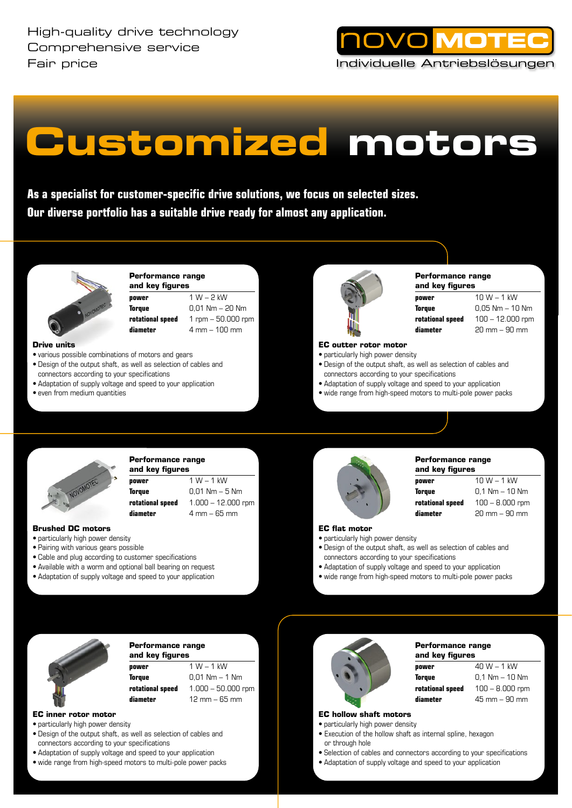

# **Customized motors**

**As a specialist for customer-specific drive solutions, we focus on selected sizes. Our diverse portfolio has a suitable drive ready for almost any application.**



**Performance range and key figures**

**power** 1 W – 2 kW **Torque** 0,01 Nm – 20 Nm **rotational speed** 1 rpm – 50.000 rpm **diameter** 4 mm – 100 mm

**Drive units**

- various possible combinations of motors and gears
- Design of the output shaft, as well as selection of cables and
- connectors according to your specifications
- Adaptation of supply voltage and speed to your application
- even from medium quantities



# **Performance range**

**and key figures power** 10 W – 1 kW **Torque** 0,05 Nm – 10 Nm **rotational speed** 100 – 12.000 rpm **diameter** 20 mm – 90 mm

# **EC outter rotor motor**

- particularly high power density
- Design of the output shaft, as well as selection of cables and connectors according to your specifications
- Adaptation of supply voltage and speed to your application
- wide range from high-speed motors to multi-pole power packs



#### **Performance range and key figures**

 $p_{\text{number}}$  1 W  $-$  1 kW **Torque** 0,01 Nm – 5 Nm **rotational speed** 1.000 – 12.000 rpm **diameter** 4 mm – 65 mm

#### **Brushed DC motors**

- particularly high power density
- Pairing with various gears possible
- Cable and plug according to customer specifications
- Available with a worm and optional ball bearing on request
- Adaptation of supply voltage and speed to your application



#### **Performance range**

**and key figures**  $p_{\text{number}}$  10 W – 1 kW **Torque** 0,1 Nm – 10 Nm **rotational speed** 100 – 8.000 rpm **diameter** 20 mm – 90 mm

- particularly high power density
- Design of the output shaft, as well as selection of cables and
- Adaptation of supply voltage and speed to your application
- wide range from high-speed motors to multi-pole power packs



#### **Performance range**

**and key figures power** 1 W – 1 kW

**Torque** 0,01 Nm – 1 Nm **rotational speed** 1.000 – 50.000 rpm **diameter** 12 mm – 65 mm

# **EC inner rotor motor**

- particularly high power density
- Design of the output shaft, as well as selection of cables and connectors according to your specifications
- Adaptation of supply voltage and speed to your application
- wide range from high-speed motors to multi-pole power packs



#### **Performance range and key figures**

| and key figures  |                                 |
|------------------|---------------------------------|
| power            | $40 W - 1 kW$                   |
| Torque           | $0.1$ Nm $-$ 10 Nm              |
| rotational speed | $100 - 8.000$ rpm               |
| diameter         | $45 \text{ mm} - 90 \text{ mm}$ |

# **EC hollow shaft motors**

- particularly high power density • Execution of the hollow shaft as internal spline, hexagon or through hole
- Selection of cables and connectors according to your specifications
- Adaptation of supply voltage and speed to your application

**EC flat motor**



- connectors according to your specifications
- 
-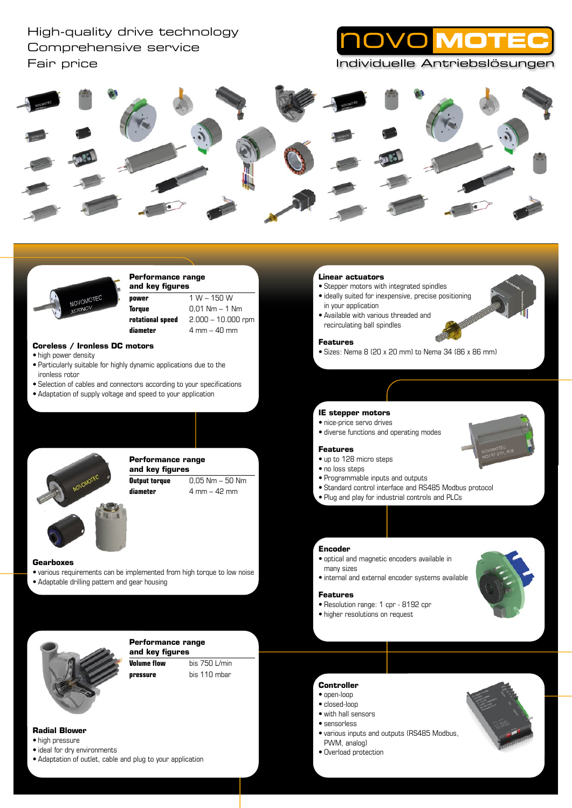# High-quality drive technology Comprehensive service Fair price

# Individuelle Antriebslösungen





#### **Performance range and key figures**

**power** 1 W – 150 W

**Torque** 0,01 Nm – 1 Nm **rotational speed** 2.000 – 10.000 rpm **diameter** 4 mm – 40 mm

### **Coreless / Ironless DC motors**

- high power density
- Particularly suitable for highly dynamic applications due to the ironless rotor
- Selection of cables and connectors according to your specifications
- Adaptation of supply voltage and speed to your application



# **Performance range and key figures**

**Output torque** 0,05 Nm – 50 Nm **diameter** 4 mm – 42 mm

#### **Gearboxes**

- various requirements can be implemented from high torque to low noise
- Adaptable drilling pattern and gear housing



# **Performance range and key figures**

**Volume flow** bis 750 L/min

**pressure** bis 110 mbar

# **Radial Blower**

- high pressure
- ideal for dry environments
- Adaptation of outlet, cable and plug to your application

## **Linear actuators**

- Stepper motors with integrated spindles • ideally suited for inexpensive, precise positioning
- in your application • Available with various threaded and recirculating ball spindles

#### **Features**

• Sizes: Nema 8 (20 x 20 mm) to Nema 34 (86 x 86 mm)

#### **IE stepper motors**

- nice-price servo drives
- diverse functions and operating modes

#### **Features**

- up to 128 micro steps
- no loss steps
- Programmable inputs and outputs
- Standard control interface and RS485 Modbus protocol
- Plug and play for industrial controls and PLCs

#### **Encoder**

- optical and magnetic encoders available in many sizes
- internal and external encoder systems available

#### **Features**

- Resolution range: 1 cpr 8192 cpr
- higher resolutions on request



#### **Controller**

- open-loop
- closed-loop
- with hall sensors
- sensorless
- various inputs and outputs (RS485 Modbus, PWM, analog)
- Overload protection